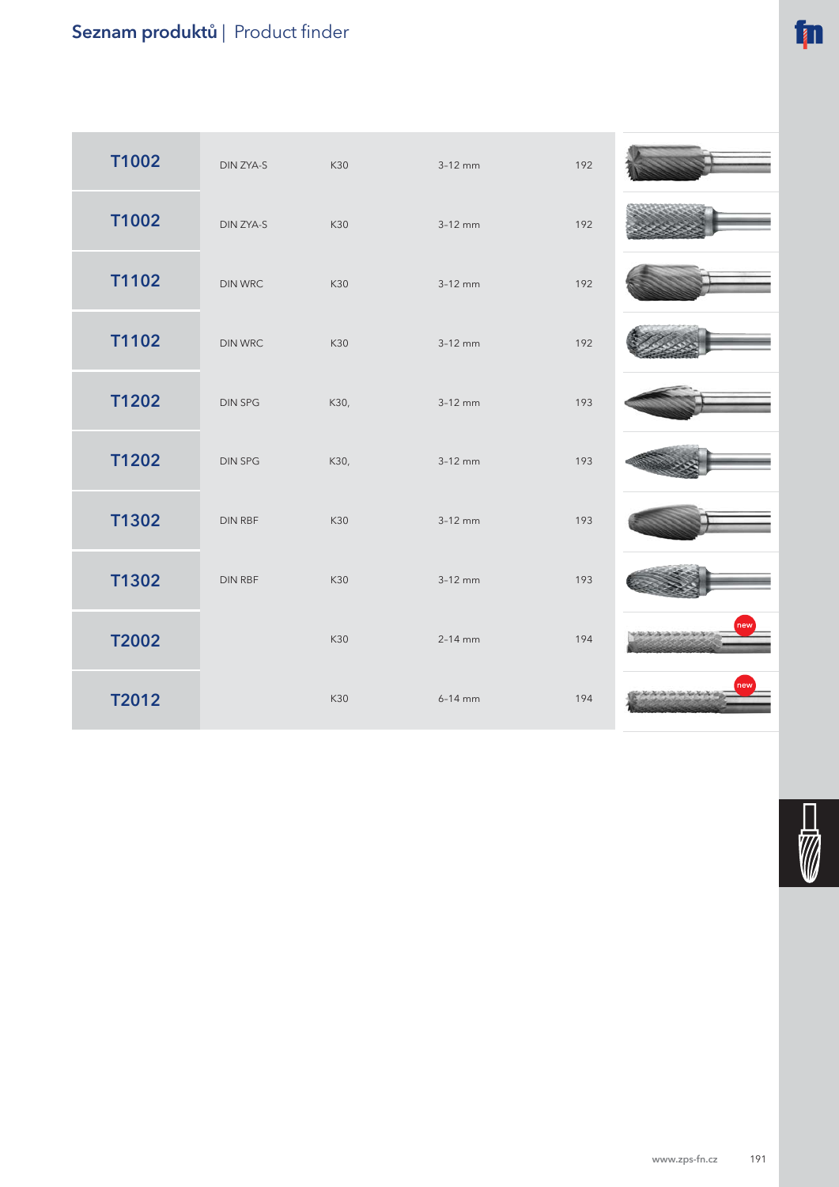## Seznam produktů | Product finder

| T1002        | DIN ZYA-S      | K30  | $3-12$ mm   | 192 |    |
|--------------|----------------|------|-------------|-----|----|
| T1002        | DIN ZYA-S      | K30  | $3-12$ mm   | 192 |    |
| T1102        | <b>DIN WRC</b> | K30  | $3-12$ mm   | 192 |    |
| T1102        | <b>DIN WRC</b> | K30  | $3-12$ mm   | 192 |    |
| T1202        | <b>DIN SPG</b> | K30, | $3-12$ mm   | 193 |    |
| T1202        | <b>DIN SPG</b> | K30, | $3-12$ mm   | 193 |    |
| T1302        | DIN RBF        | K30  | $3-12$ mm   | 193 |    |
| T1302        | DIN RBF        | K30  | $3-12$ mm   | 193 |    |
| <b>T2002</b> |                | K30  | $2 - 14$ mm | 194 |    |
| T2012        |                | K30  | $6-14$ mm   | 194 | ew |

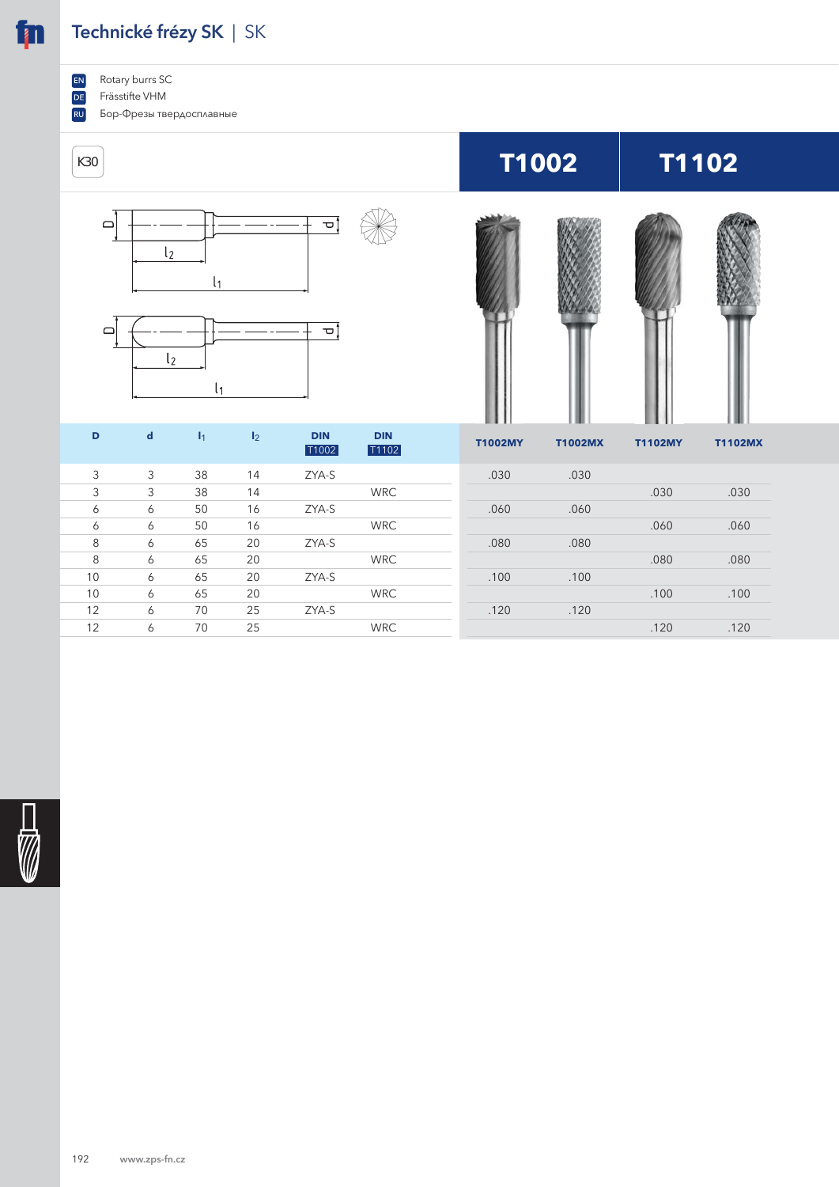## **Technické frézy SK** | SK

Rotary burrs SC  $EN$ 

**in** 

 $\boxed{DE}$ Frässtifte VHM

 $\boxed{RU}$ Бор-Фрезы твердосплавные



| D  | d | $\mathbf{I}_1$ | I <sub>2</sub> | <b>DIN</b><br>T1002 | <b>DIN</b><br>T1102 | <b>T1002MY</b> | <b>T1002MX</b> | <b>T1102MY</b> | <b>T1102MX</b> |
|----|---|----------------|----------------|---------------------|---------------------|----------------|----------------|----------------|----------------|
| 3  | 3 | 38             | 14             | ZYA-S               |                     | .030           | .030           |                |                |
| 3  | 3 | 38             | 14             |                     | <b>WRC</b>          |                |                | .030           | .030           |
| 6  | 6 | 50             | 16             | ZYA-S               |                     | .060           | .060           |                |                |
| 6  | 6 | 50             | 16             |                     | <b>WRC</b>          |                |                | .060           | .060           |
| 8  | 6 | 65             | 20             | ZYA-S               |                     | .080           | .080           |                |                |
| 8  | 6 | 65             | 20             |                     | <b>WRC</b>          |                |                | .080           | .080           |
| 10 | 6 | 65             | 20             | ZYA-S               |                     | .100           | .100           |                |                |
| 10 | 6 | 65             | 20             |                     | <b>WRC</b>          |                |                | .100           | .100           |
| 12 | 6 | 70             | 25             | ZYA-S               |                     | .120           | .120           |                |                |
| 12 | 6 | 70             | 25             |                     | <b>WRC</b>          |                |                | .120           | .120           |

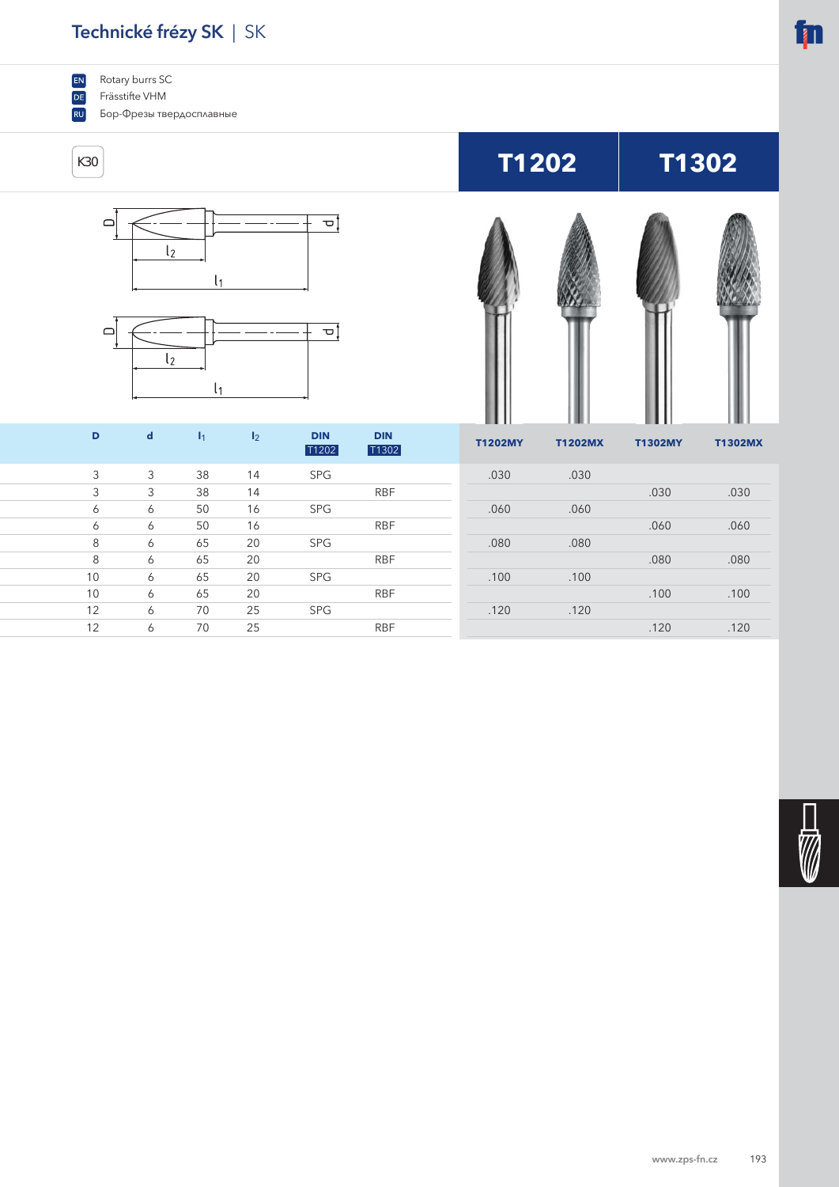## **Technické frézy SK** | SK

EN Rotary burrs SC

 $DE$ Frässtifte VHM

**RU** Бор-Фрезы твердосплавные



8 6 65 20 RBF .080 .080

10 6 65 20 RBF .100 .100

12 6 70 25 RBF .120 .120

8 6 65 20 SPG .080 .080

10 6 65 20 SPG .100 .100

12 6 70 25 SPG .120 .120